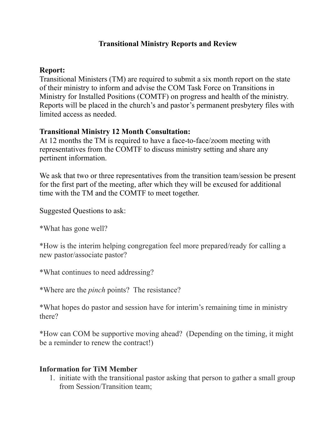## **Transitional Ministry Reports and Review**

## **Report:**

Transitional Ministers (TM) are required to submit a six month report on the state of their ministry to inform and advise the COM Task Force on Transitions in Ministry for Installed Positions (COMTF) on progress and health of the ministry. Reports will be placed in the church's and pastor's permanent presbytery files with limited access as needed.

## **Transitional Ministry 12 Month Consultation:**

At 12 months the TM is required to have a face-to-face/zoom meeting with representatives from the COMTF to discuss ministry setting and share any pertinent information.

We ask that two or three representatives from the transition team/session be present for the first part of the meeting, after which they will be excused for additional time with the TM and the COMTF to meet together.

Suggested Questions to ask:

\*What has gone well?

\*How is the interim helping congregation feel more prepared/ready for calling a new pastor/associate pastor?

\*What continues to need addressing?

\*Where are the *pinch* points? The resistance?

\*What hopes do pastor and session have for interim's remaining time in ministry there?

\*How can COM be supportive moving ahead? (Depending on the timing, it might be a reminder to renew the contract!)

## **Information for TiM Member**

1. initiate with the transitional pastor asking that person to gather a small group from Session/Transition team;